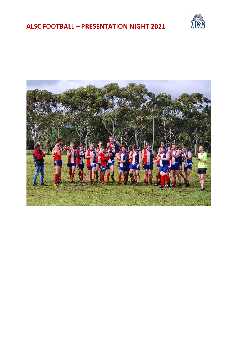# ALSC FOOTBALL – PRESENTATION NIGHT 2021



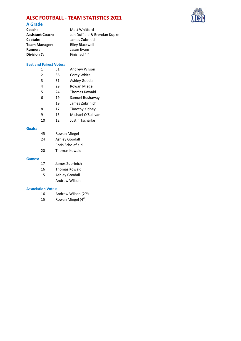# ALSC FOOTBALL - TEAM STATISTICS 2021



# A Grade

| Coach:                  | Matt Whitford                |
|-------------------------|------------------------------|
| <b>Assistant Coach:</b> | Joh Duffield & Brendan Kupke |
| Captain:                | James Zubrinich              |
| <b>Team Manager:</b>    | <b>Riley Blackwell</b>       |
| <b>Runner:</b>          | Jason Evans                  |
| Division 7:             | Finished 4 <sup>th</sup>     |

### Best and Fairest Votes:

| 1             | 51 | Andrew Wilson         |
|---------------|----|-----------------------|
| $\mathcal{P}$ | 36 | Corey White           |
| 3             | 31 | Ashley Goodall        |
| 4             | 29 | Rowan Miegel          |
| 5             | 24 | Thomas Kowald         |
| 6             | 19 | Samuel Bushaway       |
|               | 19 | James Zubrinich       |
| 8             | 17 | <b>Timothy Kidney</b> |
| ٩             | 15 | Michael O'Sullivan    |
| 10            | 12 | Justin Tscharke       |

### Goals:

| 45     | Rowan Miegel      |
|--------|-------------------|
| 24     | Ashley Goodall    |
|        | Chris Scholefield |
| 20     | Thomas Kowald     |
| Games: |                   |

| 17 | James Zubrinich      |
|----|----------------------|
| 16 | <b>Thomas Kowald</b> |
| 15 | Ashley Goodall       |
|    | Andrew Wilson        |

### Association Votes:

- 16 Andrew Wilson (2nd)
- 15 Rowan Miegel (4th)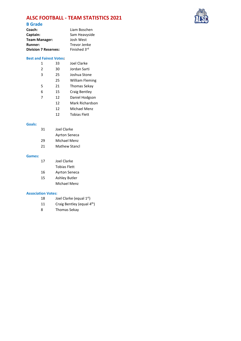# ALSC FOOTBALL - TEAM STATISTICS 2021



### B Grade

| Coach:                      | Liam Boschen  |
|-----------------------------|---------------|
| Captain:                    | Sam Heavyside |
| Team Manager:               | Josh West     |
| <b>Runner:</b>              | Trevor Jenke  |
| <b>Division 7 Reserves:</b> | Finished 3rd  |

#### Best and Fairest Votes:

| 1              | 33 | Joel Clarke            |
|----------------|----|------------------------|
| $\overline{2}$ | 30 | Jordan Sarti           |
| 3              | 25 | Joshua Stone           |
|                | 25 | <b>William Fleming</b> |
| 5              | 21 | <b>Thomas Sekay</b>    |
| 6              | 15 | Craig Bentley          |
| 7              | 12 | Daniel Hodgson         |
|                | 12 | Mark Richardson        |
|                | 12 | Michael Menz           |

- 
- 12 Tobias Flett

### Goals:

| 31 | Joel Clarke          |
|----|----------------------|
|    | <b>Ayrton Seneca</b> |
| 29 | Michael Menz         |

21 Mathew Stancl

#### Games:

| 17 | Joel Clarke          |
|----|----------------------|
|    | <b>Tobias Flett</b>  |
| 16 | <b>Ayrton Seneca</b> |
| 15 | <b>Ashley Butler</b> |
|    | Michael Menz         |

#### Association Votes:

- 18 Joel Clarke (equal  $1<sup>st</sup>$ )
- 11 Craig Bentley (equal 4<sup>th</sup>)
- 8 Thomas Sekay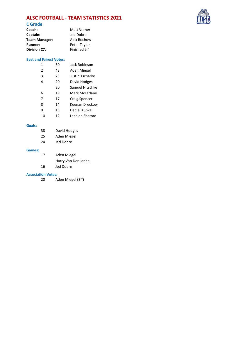# ALSC FOOTBALL - TEAM STATISTICS 2021



## C Grade

| Coach:          | <b>Matt Verner</b>       |
|-----------------|--------------------------|
| <b>Captain:</b> | Jed Dobre                |
| Team Manager:   | Alex Rochow              |
| <b>Runner:</b>  | Peter Taylor             |
| Division C7:    | Finished 5 <sup>th</sup> |
|                 |                          |

### Best and Fairest Votes:

| 1              | 60 | Jack Robinson   |
|----------------|----|-----------------|
| $\mathfrak{p}$ | 48 | Aden Miegel     |
| 3              | 23 | Justin Tscharke |
| 4              | 20 | David Hodges    |
|                | 20 | Samuel Nitschke |
| 6              | 19 | Mark McFarlane  |
| 7              | 17 | Craig Spencer   |
| 8              | 14 | Keenan Dreckow  |
| q              | 13 | Daniel Kupke    |
| 10             | 12 | Lachlan Sharrad |

### Goals:

|        | 38 | David Hodges |
|--------|----|--------------|
|        | 25 | Aden Miegel  |
|        | 24 | Jed Dobre    |
| Games: |    |              |
|        | 17 | Aden Miegel  |

 Harry Van Der Lende 16 Jed Dobre

### Association Votes:

20 Aden Miegel (3rd)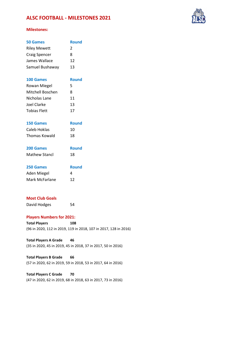# ALSC FOOTBALL - MILESTONES 2021



### Milestones:

| <b>50 Games</b>      | <b>Round</b> |
|----------------------|--------------|
| <b>Riley Mewett</b>  | 2            |
| <b>Craig Spencer</b> | 8            |
| James Wallace        | 12           |
| Samuel Bushaway      | 13           |
| 100 Games            | <b>Round</b> |
| <b>Rowan Miegel</b>  | 5            |
| Mitchell Boschen     | 8            |
| Nicholas Lane        | 11           |
| Joel Clarke          | 13           |
| <b>Tobias Flett</b>  | 17           |
| <b>150 Games</b>     | <b>Round</b> |
| Caleb Hoklas         | 10           |
| <b>Thomas Kowald</b> | 18           |
| 200 Games            | <b>Round</b> |
| <b>Mathew Stancl</b> | 18           |
| 250 Games            | <b>Round</b> |
| Aden Miegel          | 4            |
| Mark McFarlane       | 12           |
|                      |              |

## Most Club Goals

David Hodges 54

### Players Numbers for 2021:

Total Players 108 (96 in 2020, 112 in 2019, 119 in 2018, 107 in 2017, 128 in 2016)

Total Players A Grade 46 (35 in 2020, 45 in 2019, 45 in 2018, 37 in 2017, 50 in 2016)

Total Players B Grade 66 (57 in 2020, 62 in 2019, 59 in 2018, 53 in 2017, 64 in 2016)

Total Players C Grade 70 (47 in 2020, 62 in 2019, 68 in 2018, 63 in 2017, 73 in 2016)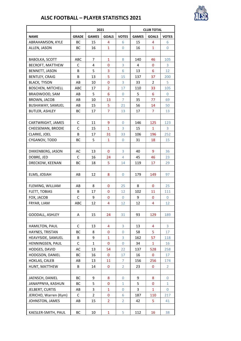

# ALSC FOOTBALL – PLAYER STATISTICS 2021

|                          | 2021         |                |                |                | <b>CLUB TOTAL</b> |              |              |  |
|--------------------------|--------------|----------------|----------------|----------------|-------------------|--------------|--------------|--|
| <b>NAME</b>              | <b>GRADE</b> | <b>GAMES</b>   | <b>GOALS</b>   | <b>VOTES</b>   | <b>GAMES</b>      | <b>GOALS</b> | <b>VOTES</b> |  |
| ABRAHAMSON, KYLE         | BС           | 15             | 4              | 6              | 15                | 4            | 6            |  |
| ALLEN, JASON             | BС           | 16             | $\mathbf{1}$   | 0              | 16                | 1            | 0            |  |
|                          |              |                |                |                |                   |              |              |  |
| <b>BABOLKA, SCOTT</b>    | ABC          | 7              | $\mathbf{1}$   | 8              | 140               | 46           | 105          |  |
| <b>BECROFT, MATTHEW</b>  | C            | 4              | 0              | 3              | 4                 | 0            | 3            |  |
| BENNETT, JASON           | B            | 5              | 3              | 6              | 13                | 6            | 12           |  |
| <b>BENTLEY, CRAIG</b>    | В            | 13             | 5              | 15             | 137               | 37           | 200          |  |
| <b>BLACK, TYSON</b>      | AB           | 10             | $\mathbf{0}$   | 3              | 33                | 2            | 5            |  |
| <b>BOSCHEN, MITCHELL</b> | ABC          | 17             | $\overline{2}$ | 17             | 110               | 33           | 105          |  |
| BRAIDWOOD, SAM           | AB           | 5              | 6              | 0              | 5                 | 6            | 0            |  |
| BROWN, JACOB             | AB           | 10             | 13             | $\overline{7}$ | 35                | 77           | 69           |  |
| BUSHAWAY, SAMUEL         | AB           | 15             | 5              | 21             | 56                | 14           | 50           |  |
| <b>BUTLER, ASHLEY</b>    | ВC           | 17             | 7              | 13             | 17                | 7            | 13           |  |
|                          |              |                |                |                |                   |              |              |  |
| CARTWRIGHT, JAMES        | C            | 11             | 9              | 0              | 146               | 125          | 123          |  |
| CHEESEMAN, BRODIE        | C            | 15             | $\mathbf{1}$   | 3              | 15                | $\mathbf{1}$ | 3            |  |
| <b>CLARKE, JOEL</b>      | В            | 17             | 31             | 33             | 106               | 196          | 252          |  |
| CYGANOV, TODD            | ВC           | 5              | $\mathbf{1}$   | 0              | 31                | 18           | 15           |  |
|                          |              |                |                |                |                   |              |              |  |
| DIKKENBERG, JASON        | AC           | 13             | $\mathbf{0}$   | 3              | 40                | 9            | 36           |  |
| DOBRE, JED               | C            | 16             | 24             | 4              | 45                | 46           | 23           |  |
| DRECKOW, KEENAN          | ВC           | 18             | 5              | 14             | 119               | 17           | 29           |  |
|                          |              |                |                |                |                   |              |              |  |
| ELMS, JOSIAH             | AB           | 12             | 8              | 0              | 179               | 149          | 97           |  |
|                          |              |                |                |                |                   |              |              |  |
| FLEMING, WILLIAM         | AB           | 8              | 0              | 25             | 8                 | 0            | 25           |  |
| <b>FLETT, TOBIAS</b>     | В            | 17             | $\mathbf 0$    | 12             | 102               | 11           | 111          |  |
| FOX, JACOB               | C            | 9              | 0              | $\mathbf{0}$   | 9                 | 0            | 0            |  |
| FRYAR, LIAM              | ABC          | 12             | 4              | 12             | 12                | 4            | 12           |  |
|                          |              |                |                |                |                   |              |              |  |
| GOODALL, ASHLEY          | A            | 15             | 24             | 31             | 93                | 129          | 189          |  |
|                          |              |                |                |                |                   |              |              |  |
| HAMILTON, PAUL           | C            | 13             | 4              | 3              | 13                | 4            | 3            |  |
| HAYNES, TRISTAN          | BС           | 8              | 0              | 0              | 58                | 5            | 17           |  |
| HEAVYSIDE, SAMUEL        | В            | 9              | $\mathbf{1}$   | 3              | 162               | 57           | 118          |  |
| HENNINGSEN, PAUL         | C            | 1              | 0              | 0              | 34                | 1            | 16           |  |
| HODGES, DAVID            | AC           | 13             | 54             | 22             | 137               | 528          | 258          |  |
| HODGSON, DANIEL          | ВC           | 16             | 0              | 17             | 16                | 0            | 17           |  |
| HOKLAS, CALEB            | AB           | 13             | 11             | 7              | 156               | 256          | 174          |  |
| HUNT, MATTHEW            | В            | 14             | 0              | 2              | 23                | 0            | 2            |  |
|                          |              |                |                |                |                   |              |              |  |
| JAENSCH, DANIEL          | ВC           | 9              | 8              | 0              | 9                 | 8            | 0            |  |
| JANAPPNYA, KASHUN        | ВC           | 5              | 0              | 1              | 5                 | 0            | 1            |  |
| JELBERT, CURTIS          | AB           | 3              | $\mathbf{1}$   | 0              | 3                 | $\mathbf{1}$ | $\Omega$     |  |
| JERICHO, Warren (Kym)    | C            | $\overline{2}$ | 0              | 6              | 187               | 110          | 217          |  |
| JOHNSTON, JAMES          | AB           | 15             | $\overline{2}$ | 2              | 42                | 5            | 41           |  |
|                          |              |                |                |                |                   |              |              |  |
| KAESLER-SMITH, PAUL      | BС           | 10             | $\mathbf{1}$   | 5              | 112               | 16           | 38           |  |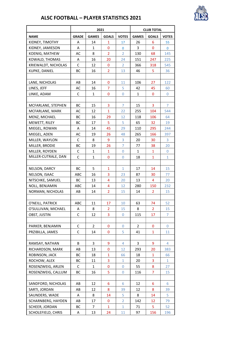

# ALSC FOOTBALL – PLAYER STATISTICS 2021

|                     | 2021         |              |                | <b>CLUB TOTAL</b> |              |                |                |
|---------------------|--------------|--------------|----------------|-------------------|--------------|----------------|----------------|
| <b>NAME</b>         | <b>GRADE</b> | <b>GAMES</b> | <b>GOALS</b>   | <b>VOTES</b>      | <b>GAMES</b> | <b>GOALS</b>   | <b>VOTES</b>   |
| KIDNEY, TIMOTHY     | A            | 14           | 1              | 17                | 26           | 6              | 55             |
| KIDNEY, JAMIESON    | Α            | 1            | 0              | 0                 | 3            | 0              | 0              |
| KOENIG, MATHEW      | AC           | 8            | $\overline{2}$ | $\overline{2}$    | 130          | 68             | 145            |
| KOWALD, THOMAS      | A            | 16           | 20             | 24                | 151          | 247            | 225            |
| KRIEWALDT, NICHOLAS | C            | 12           | 0              | 2                 | 366          | 318            | 545            |
| KUPKE, DANIEL       | ВC           | 16           | $\overline{2}$ | 13                | 46           | 5              | 36             |
|                     |              |              |                |                   |              |                |                |
| LANE, NICHOLAS      | AB           | 14           | 0              | 11                | 106          | 27             | 122            |
| LINES, JEFF         | AC           | 16           | $\overline{7}$ | 5                 | 42           | 45             | 60             |
| LINKE, ADAM         | C            | $\mathbf{1}$ | $\mathbf{0}$   | $\mathbf{0}$      | $\mathbf{1}$ | 0              | 0              |
|                     |              |              |                |                   |              |                |                |
| MCFARLANE, STEPHEN  | <b>BC</b>    | 15           | 3              | $\overline{7}$    | 15           | 3              | $\overline{7}$ |
| MCFARLANE, MARK     | AC           | 12           | $\overline{1}$ | 22                | 255          | 104            | 544            |
| MENZ, MICHAEL       | ВC           | 16           | 29             | 12                | 118          | 106            | 64             |
| MEWETT, RILEY       | ВC           | 17           | 5              | 5                 | 65           | 32             | 19             |
| MIEGEL, ROWAN       | Α            | 14           | 45             | 29                | 110          | 295            | 244            |
| MIEGEL, ADEN        | AC           | 19           | 26             | 48                | 265          | 166            | 397            |
| MILLER, WAYLON      | C            | 8            | 9              | 3                 | 20           | 30             | 3              |
| MILLER, BRODIE      | ВC           | 19           | 26             | $\overline{7}$    | 77           | 38             | 20             |
| MILLER, ROYDEN      | C            | 1            | $\mathbf{1}$   | 0                 | 1            | 1              | 0              |
| MILLER-CUTRALE, DAN | C            | $\mathbf{1}$ | 0              | 0                 | 18           | $\mathbf{1}$   | $\mathbf{1}$   |
|                     |              |              |                |                   |              |                |                |
| NELSON, DARCY       | ВC           | 5            | $\mathbf{1}$   | $\mathbf{1}$      | 17           | 14             | 15             |
| NELSON, ISAAC       | ABC          | 16           | 3              | 23                | 87           | 30             | 77             |
| NITSCHKE, SAMUEL    | ВC           | 13           | 4              | 20                | 13           | 4              | 20             |
| NOLL, BENJAMIN      | ABC          | 14           | 4              | 12                | 280          | 150            | 232            |
| NORMAN, NICHOLAS    | AB           | 14           | $\overline{2}$ | 15                | 14           | $\overline{2}$ | 15             |
|                     |              |              |                |                   |              |                |                |
| O'NEILL, PATRICK    | ABC          | 11           | 17             | 10                | 63           | 74             | 52             |
| O'SULLIVAN, MICHAEL | A            | 8            | 2              | 15                | 8            | $\overline{2}$ | 15             |
| OBST, JUSTIN        | C            | 12           | 3              | 0                 | 115          | 17             | $\overline{7}$ |
|                     |              |              |                |                   |              |                |                |
| PARKER, BENJAMIN    | C            | 2            | 0              | 0                 | 2            | 0              | 0              |
| PRZIBILLA, JAMES    | C            | 14           | $\mathbf{0}$   | 5                 | 41           | 1              | 11             |
|                     |              |              |                |                   |              |                |                |
| RAMSAY, NATHAN      | B            | 3            | 9              | 4                 | 3            | 9              | 4              |
| RICHARDSON, MARK    | AB           | 13           | 0              | 12                | 293          | 20             | 383            |
| ROBINSON, JACK      | ВC           | 18           | $\mathbf{1}$   | 66                | 18           | 1              | 66             |
| ROCHOW, ALEX        | ВC           | 11           | 3              | 1                 | 20           | 3              | 1              |
| ROSENZWEIG, ARLEN   | C            | $\mathbf{1}$ | 0              | $\mathbf 0$       | 55           | 8              | 27             |
| ROSENZWEIG, CALLUM  | ВC           | 16           | 5              | 0                 | 116          | $\overline{7}$ | 15             |
|                     |              |              |                |                   |              |                |                |
| SANDFORD, NICHOLAS  | AB           | 12           | 6              | 6                 | 12           | 6              | 6              |
| SARTI, JORDAN       | AB           | 12           | 8              | 39                | 12           | 8              | 39             |
| SAUNDERS, WADE      | Α            | 8            | 14             | 5                 | 8            | 14             | 5              |
| SCHARNBERG, HAYDEN  | AB           | 17           | 0              | $\overline{2}$    | 142          | 12             | 79             |
| SCHEER, JORDAN      | ВC           | 7            | $\mathbf{1}$   | $\mathbf{1}$      | 71           | 5              | 52             |
| SCHOLEFIELD, CHRIS  | Α            | 13           | 24             | 11                | 97           | 156            | 196            |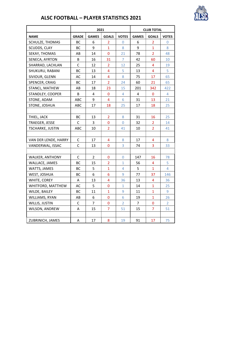

# ALSC FOOTBALL – PLAYER STATISTICS 2021

|                      |              | 2021           |                         | <b>CLUB TOTAL</b> |              |                |                |
|----------------------|--------------|----------------|-------------------------|-------------------|--------------|----------------|----------------|
| <b>NAME</b>          | <b>GRADE</b> | <b>GAMES</b>   | <b>GOALS</b>            | <b>VOTES</b>      | <b>GAMES</b> | <b>GOALS</b>   | <b>VOTES</b>   |
| SCHULZE, THOMAS      | вс           | 6              | $\overline{2}$          | 0                 | 6            | 2              | 0              |
| SCUDDS, CLAY         | ВC           | 9              | $\mathbf{1}$            | 8                 | 9            | $\mathbf{1}$   | 8              |
| SEKAY, THOMAS        | AB           | 14             | 0                       | 21                | 78           | $\overline{2}$ | 48             |
| SENECA, AYRTON       | B            | 16             | 31                      | $\overline{7}$    | 42           | 60             | 10             |
| SHARRAD, LACHLAN     | C            | 12             | $\overline{2}$          | 12                | 25           | 4              | 19             |
| SHUKURU, RABANI      | ВC           | 13             | $\overline{\mathbf{4}}$ | 5                 | 13           | 4              | 5              |
| SIVIOUR, GLENN       | AC           | 14             | 4                       | 8                 | 75           | 17             | 65             |
| SPENCER, CRAIG       | ВC           | 17             | $\overline{2}$          | 24                | 60           | 21             | 65             |
| STANCL, MATHEW       | AB           | 18             | 23                      | 15                | 201          | 342            | 422            |
| STANDLEY, COOPER     | B            | 4              | 0                       | 4                 | 4            | 0              | 4              |
| STONE, ADAM          | ABC          | 9              | $\overline{4}$          | 6                 | 31           | 13             | 21             |
| STONE, JOSHUA        | ABC          | 17             | 18                      | 25                | 17           | 18             | 25             |
|                      |              |                |                         |                   |              |                |                |
| THIEL, JACK          | ВC           | 13             | $\overline{2}$          | 8                 | 31           | 16             | 25             |
| TRAEGER, JESSE       | C            | 3              | 0                       | $\mathbf 0$       | 32           | $\overline{2}$ | 14             |
| TSCHARKE, JUSTIN     | ABC          | 10             | $\overline{2}$          | 41                | 10           | $\overline{2}$ | 41             |
|                      |              |                |                         |                   |              |                |                |
| VAN DER LENDE, HARRY | С            | 17             | 4                       | 8                 | 17           | 4              | 8              |
| VANDERWAL, ISSAC     | C            | 13             | 0                       | 3                 | 74           | 3              | 33             |
|                      |              |                |                         |                   |              |                |                |
| WALKER, ANTHONY      | C            | $\overline{2}$ | 0                       | 0                 | 147          | 16             | 78             |
| WALLACE, JAMES       | ВC           | 15             | $\overline{2}$          | 1                 | 56           | 4              | 5              |
| WATTS, JAMES         | ВC           | 5              | $\mathbf{1}$            | 4                 | 5            | 1              | 4              |
| WEST, JOSHUA         | ВC           | 6              | 6                       | 9                 | 77           | 37             | 146            |
| WHITE, COREY         | A            | 13             | $\overline{4}$          | 36                | 13           | 4              | 36             |
| WHITFORD, MATTHEW    | AC           | 5              | 0                       | 1                 | 14           | 1              | 25             |
| WILDE, BAILEY        | ВC           | 11             | $\mathbf{1}$            | 9                 | 11           | $\mathbf{1}$   | 9              |
| WILLIAMS, RYAN       | AB           | 6              | 0                       | 6                 | 19           | $\mathbf{1}$   | 26             |
| WILLIS, JUSTIN       | C            | 7              | 0                       | 2                 | 7            | 0              | $\overline{2}$ |
| WILSON, ANDREW       | Α            | 15             | $\overline{7}$          | 51                | 15           | $\overline{7}$ | 51             |
|                      |              |                |                         |                   |              |                |                |
| ZUBRINICH, JAMES     | А            | 17             | 8                       | 19                | 91           | 17             | 75             |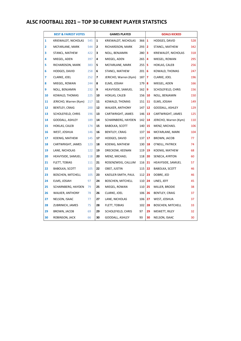# ALSC FOOTBALL 2021 – TOP 30 CURRENT PLAYER STATSTICS

|              | <b>BEST &amp; FAIREST VOTES</b> |     |                          | <b>GAMES PLAYED</b>      |                     |                | <b>GOALS KICKED</b>      |     |
|--------------|---------------------------------|-----|--------------------------|--------------------------|---------------------|----------------|--------------------------|-----|
| $\mathbf{1}$ | KRIEWALDT, NICHOLAS             | 545 | $\mathbf{1}$             | KRIEWALDT, NICHOLAS      | $366$ 1             |                | HODGES, DAVID            | 528 |
| 2            | MCFARLANE, MARK                 | 544 | 2                        | RICHARDSON, MARK         | 293                 | $\overline{2}$ | STANCL, MATHEW           | 342 |
| 3            | STANCL, MATHEW                  | 422 | 3                        | NOLL, BENJAMIN           | 280                 | 3              | KRIEWALDT, NICHOLAS      | 318 |
| 4            | MIEGEL, ADEN                    | 397 | 4                        | MIEGEL, ADEN             | 265                 | $\overline{4}$ | MIEGEL, ROWAN            | 295 |
| 5            | RICHARDSON, MARK                | 383 | 5                        | MCFARLANE, MARK          | 255                 | -5             | HOKLAS, CALEB            | 256 |
| 6            | HODGES, DAVID                   | 258 | 6                        | STANCL, MATHEW           | $201 \, \vert \, 6$ |                | KOWALD, THOMAS           | 247 |
| 7            | CLARKE, JOEL                    | 252 | $\overline{\phantom{a}}$ | JERICHO, Warren (Kym)    | 187                 | $\overline{7}$ | CLARKE, JOEL             | 196 |
| 8            | MIEGEL, ROWAN                   | 244 | 8                        | ELMS, JOSIAH             | 179                 | -8             | MIEGEL, ADEN             | 166 |
| 9            | NOLL, BENJAMIN                  | 232 | 9                        | HEAVYSIDE, SAMUEL        | 162   9             |                | SCHOLEFIELD, CHRIS       | 156 |
| 10           | KOWALD, THOMAS                  | 225 | 10                       | HOKLAS, CALEB            | 156                 | 10             | NOLL, BENJAMIN           | 150 |
| 11           | JERICHO, Warren (Kym)           | 217 | 11                       | KOWALD, THOMAS           | 151                 | 11             | ELMS, JOSIAH             | 149 |
| 12           | BENTLEY, CRAIG                  | 200 | 12                       | WALKER, ANTHONY          | 147                 | 12             | GOODALL, ASHLEY          | 129 |
| 13           | SCHOLEFIELD, CHRIS              | 196 | 13                       | CARTWRIGHT, JAMES        | 146                 | 13             | CARTWRIGHT, JAMES        | 125 |
| 14           | GOODALL, ASHLEY                 | 189 | 14                       | SCHARNBERG, HAYDEN       | 142                 | 14             | JERICHO, Warren (Kym)    | 110 |
| 15           | HOKLAS, CALEB                   | 174 | 15                       | <b>BABOLKA, SCOTT</b>    | 140                 | 15             | MENZ, MICHAEL            | 106 |
| 16           | WEST, JOSHUA                    | 146 | 16                       | BENTLEY, CRAIG           | 137                 | 16             | MCFARLANE, MARK          | 104 |
| 17           | KOENIG, MATHEW                  | 145 | 17                       | HODGES, DAVID            | 137                 | 17             | BROWN, JACOB             | 77  |
| 18           | CARTWRIGHT, JAMES               | 123 | 18                       | KOENIG, MATHEW           | 130                 | 18             | O'NEILL, PATRICK         | 74  |
| 19           | LANE, NICHOLAS                  | 122 | 19                       | DRECKOW, KEENAN          | 119                 | 19             | KOENIG, MATHEW           | 68  |
| 20           | HEAVYSIDE, SAMUEL               | 118 | 20                       | MENZ, MICHAEL            | 118                 | 20             | SENECA, AYRTON           | 60  |
| 21           | FLETT, TOBIAS                   | 111 | 21                       | ROSENZWEIG, CALLUM       | 116                 | 21             | HEAVYSIDE, SAMUEL        | 57  |
| 22           | <b>BABOLKA, SCOTT</b>           | 105 | 22                       | OBST, JUSTIN             | 115                 | 22             | BABOLKA, SCOTT           | 46  |
| 23           | <b>BOSCHEN, MITCHELL</b>        | 105 | 23                       | KAESLER-SMITH, PAUL      | 112                 | 23             | DOBRE, JED               | 46  |
| 24           | ELMS, JOSIAH                    | 97  | 24                       | <b>BOSCHEN, MITCHELL</b> | 110                 | 24             | LINES, JEFF              | 45  |
| 25           | SCHARNBERG, HAYDEN              | 79  | 25                       | MIEGEL, ROWAN            | 110                 | 25             | MILLER, BRODIE           | 38  |
| 26           | <b>WALKER, ANTHONY</b>          | 78  | 26                       | CLARKE, JOEL             | 106                 | 26             | <b>BENTLEY, CRAIG</b>    | 37  |
| 27           | NELSON, ISAAC                   | 77  | 27                       | LANE, NICHOLAS           | 106                 | 27             | WEST, JOSHUA             | 37  |
| 28           | ZUBRINICH, JAMES                | 75  | 28                       | FLETT, TOBIAS            | 102                 | 28             | <b>BOSCHEN, MITCHELL</b> | 33  |
| 29           | BROWN, JACOB                    | 69  | 29                       | SCHOLEFIELD, CHRIS       | 97                  | 29             | MEWETT, RILEY            | 32  |
| 30           | ROBINSON, JACK                  | 66  | 30                       | GOODALL, ASHLEY          | 93                  | 30             | NELSON, ISAAC            | 30  |